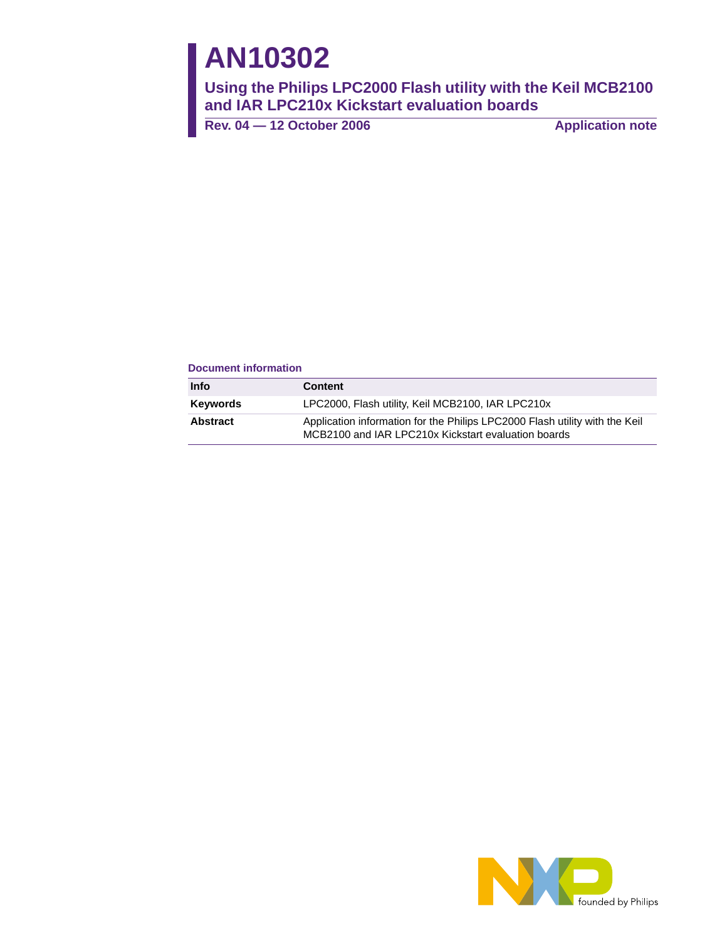# **AN10302**

**Using the Philips LPC2000 Flash utility with the Keil MCB2100 and IAR LPC210x Kickstart evaluation boards**

Rev. 04 – 12 October 2006 **Application note** 

#### **Document information**

| Info            | <b>Content</b>                                                                                                                     |
|-----------------|------------------------------------------------------------------------------------------------------------------------------------|
| <b>Keywords</b> | LPC2000, Flash utility, Keil MCB2100, IAR LPC210x                                                                                  |
| <b>Abstract</b> | Application information for the Philips LPC2000 Flash utility with the Keil<br>MCB2100 and IAR LPC210x Kickstart evaluation boards |

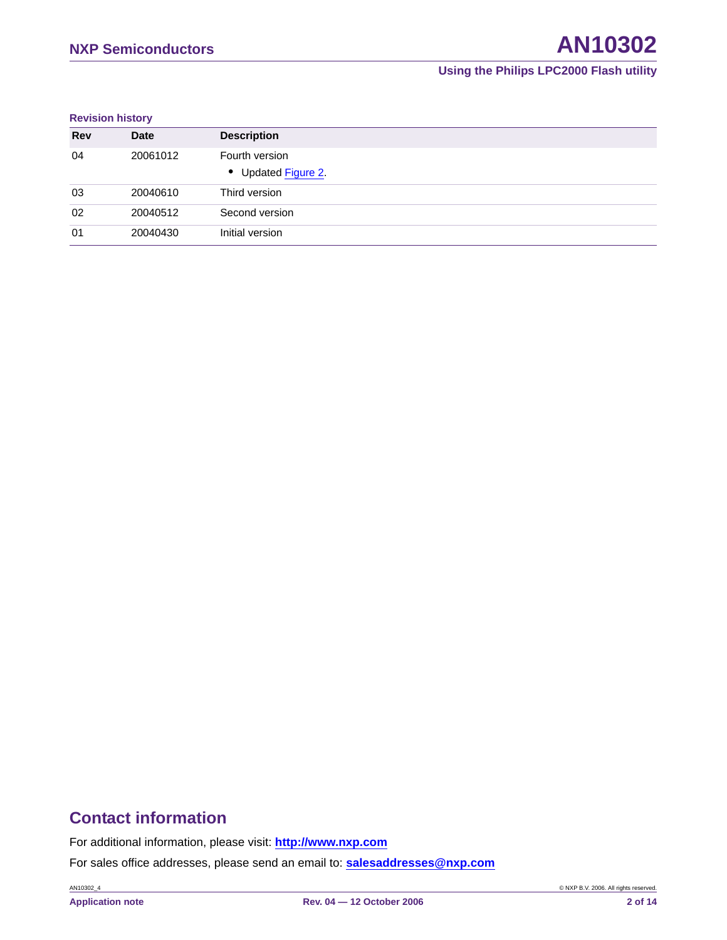#### **Revision history**

| <b>Rev</b> | <b>Date</b> | <b>Description</b>                    |
|------------|-------------|---------------------------------------|
| 04         | 20061012    | Fourth version<br>• Updated Figure 2. |
| 03         | 20040610    | Third version                         |
| 02         | 20040512    | Second version                        |
| 01         | 20040430    | Initial version                       |

### **Contact information**

For additional information, please visit: **http://www.nxp.com**

For sales office addresses, please send an email to: **salesaddresses@nxp.com**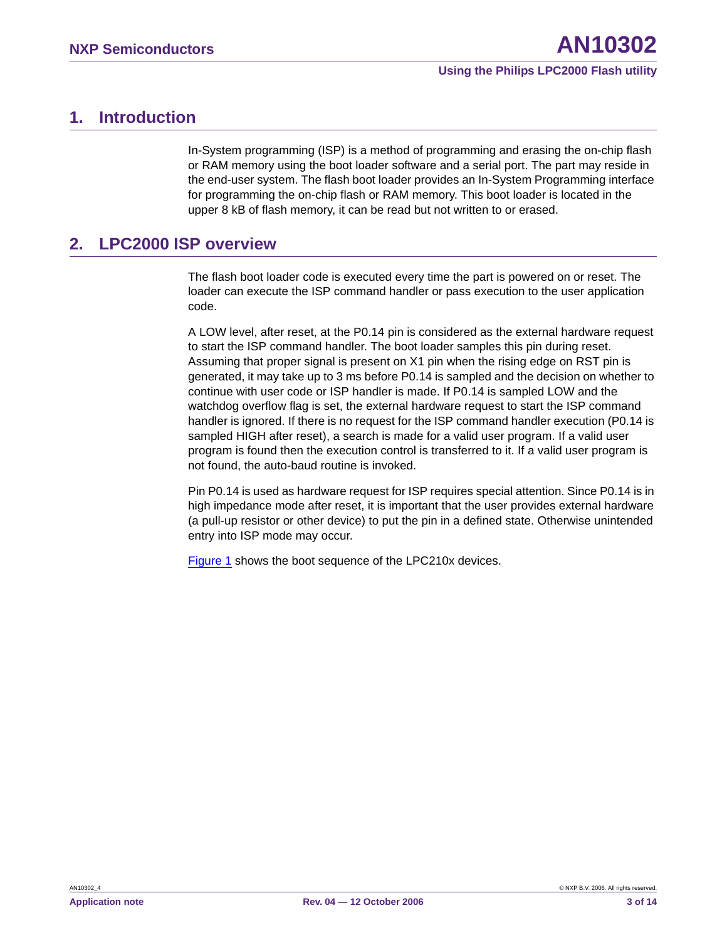### <span id="page-2-0"></span>**1. Introduction**

In-System programming (ISP) is a method of programming and erasing the on-chip flash or RAM memory using the boot loader software and a serial port. The part may reside in the end-user system. The flash boot loader provides an In-System Programming interface for programming the on-chip flash or RAM memory. This boot loader is located in the upper 8 kB of flash memory, it can be read but not written to or erased.

### <span id="page-2-1"></span>**2. LPC2000 ISP overview**

The flash boot loader code is executed every time the part is powered on or reset. The loader can execute the ISP command handler or pass execution to the user application code.

A LOW level, after reset, at the P0.14 pin is considered as the external hardware request to start the ISP command handler. The boot loader samples this pin during reset. Assuming that proper signal is present on X1 pin when the rising edge on RST pin is generated, it may take up to 3 ms before P0.14 is sampled and the decision on whether to continue with user code or ISP handler is made. If P0.14 is sampled LOW and the watchdog overflow flag is set, the external hardware request to start the ISP command handler is ignored. If there is no request for the ISP command handler execution (P0.14 is sampled HIGH after reset), a search is made for a valid user program. If a valid user program is found then the execution control is transferred to it. If a valid user program is not found, the auto-baud routine is invoked.

Pin P0.14 is used as hardware request for ISP requires special attention. Since P0.14 is in high impedance mode after reset, it is important that the user provides external hardware (a pull-up resistor or other device) to put the pin in a defined state. Otherwise unintended entry into ISP mode may occur.

[Figure 1](#page-3-0) shows the boot sequence of the LPC210x devices.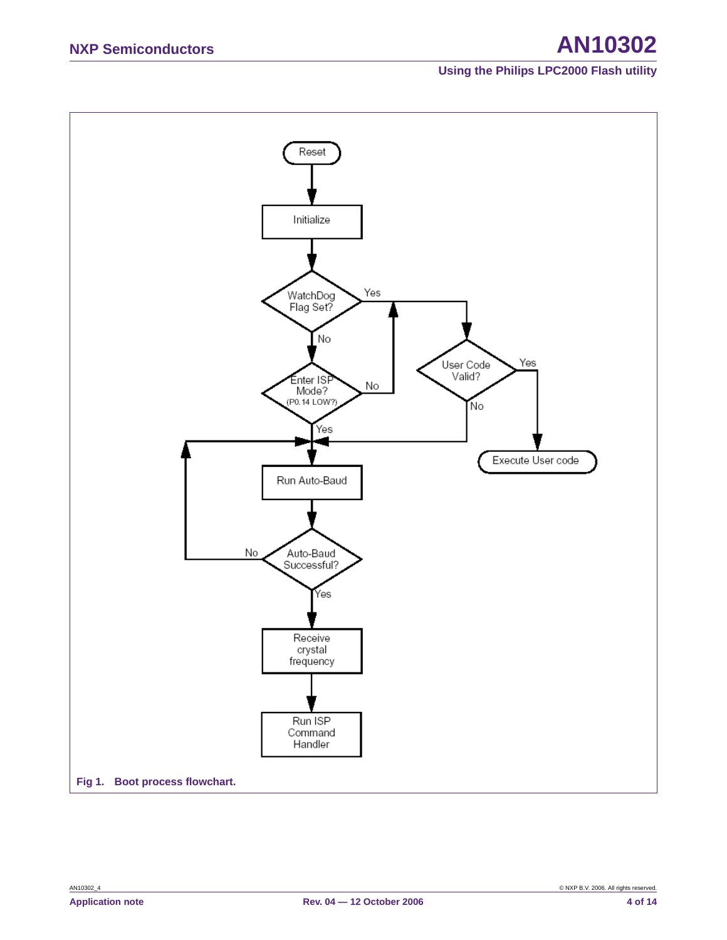## **NXP Semiconductors AN10302**

### **Using the Philips LPC2000 Flash utility**

<span id="page-3-0"></span>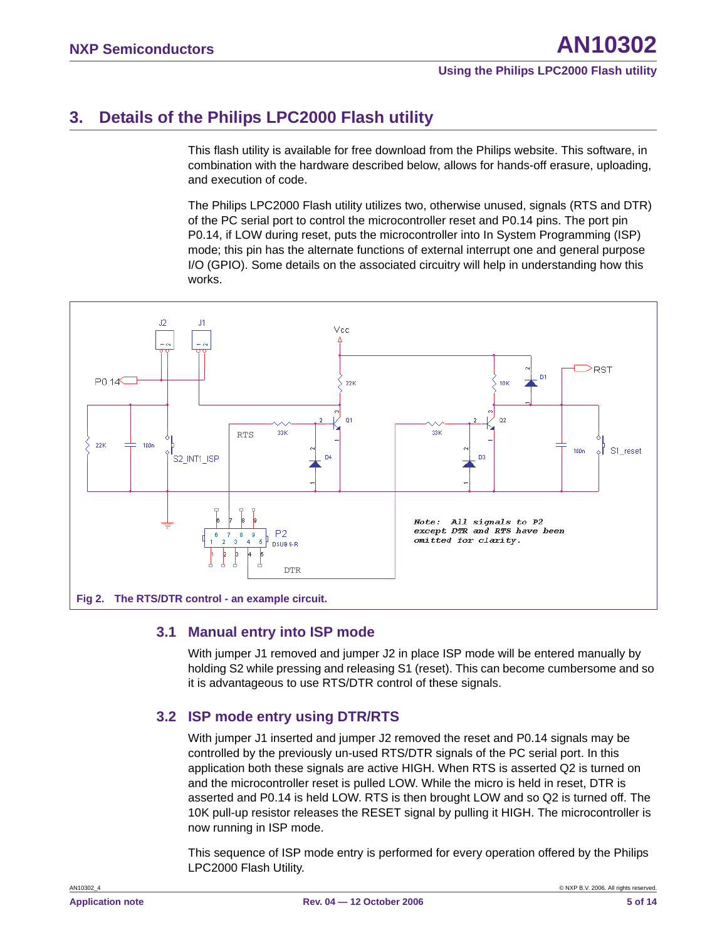### <span id="page-4-1"></span>**3. Details of the Philips LPC2000 Flash utility**

This flash utility is available for free download from the Philips website. This software, in combination with the hardware described below, allows for hands-off erasure, uploading, and execution of code.

The Philips LPC2000 Flash utility utilizes two, otherwise unused, signals (RTS and DTR) of the PC serial port to control the microcontroller reset and P0.14 pins. The port pin P0.14, if LOW during reset, puts the microcontroller into In System Programming (ISP) mode; this pin has the alternate functions of external interrupt one and general purpose I/O (GPIO). Some details on the associated circuitry will help in understanding how this works.



### <span id="page-4-2"></span><span id="page-4-0"></span>**3.1 Manual entry into ISP mode**

With jumper J1 removed and jumper J2 in place ISP mode will be entered manually by holding S2 while pressing and releasing S1 (reset). This can become cumbersome and so it is advantageous to use RTS/DTR control of these signals.

### <span id="page-4-3"></span>**3.2 ISP mode entry using DTR/RTS**

With jumper J1 inserted and jumper J2 removed the reset and P0.14 signals may be controlled by the previously un-used RTS/DTR signals of the PC serial port. In this application both these signals are active HIGH. When RTS is asserted Q2 is turned on and the microcontroller reset is pulled LOW. While the micro is held in reset, DTR is asserted and P0.14 is held LOW. RTS is then brought LOW and so Q2 is turned off. The 10K pull-up resistor releases the RESET signal by pulling it HIGH. The microcontroller is now running in ISP mode.

This sequence of ISP mode entry is performed for every operation offered by the Philips LPC2000 Flash Utility.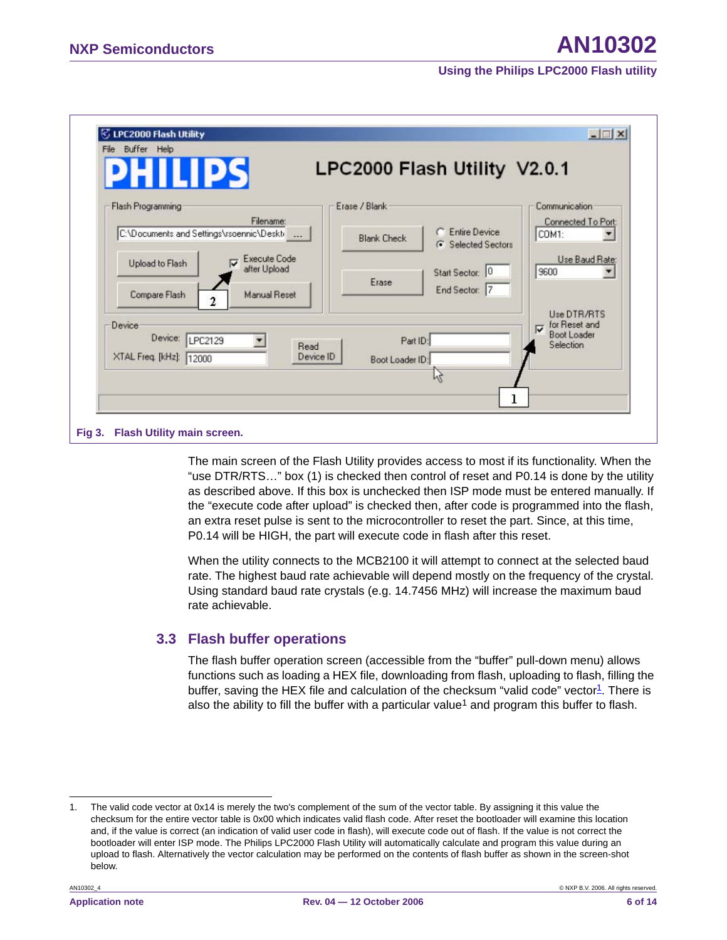| TPS                                                    | LPC2000 Flash Utility V2.0.1                                       |                                                            |
|--------------------------------------------------------|--------------------------------------------------------------------|------------------------------------------------------------|
| Flash Programming                                      | Erase / Blank                                                      | Communication                                              |
| Filename:<br>C:\Documents and Settings\rsoennic\Deskti | C Entire Device<br><b>Blank Check</b><br><b>6</b> Selected Sectors | Connected To Port:<br>COM1:                                |
| <b>Execute Code</b><br>Upload to Flash<br>after Upload | Start Sector: 0                                                    | Use Baud Rate:<br>9600                                     |
| Compare Flash<br><b>Manual Reset</b><br>2              | Erase<br>End Sector: 7                                             |                                                            |
| Device                                                 |                                                                    | Use DTR/RTS<br>for Reset and                               |
| Device: LPC2129<br>Read                                | Part ID:                                                           | $\overline{\mathbf{v}}$<br><b>Boot Loader</b><br>Selection |
| XTAL Freq. [kHz]: 12000                                | Device ID<br>Boot Loader ID:                                       |                                                            |
|                                                        |                                                                    |                                                            |

The main screen of the Flash Utility provides access to most if its functionality. When the "use DTR/RTS…" box (1) is checked then control of reset and P0.14 is done by the utility as described above. If this box is unchecked then ISP mode must be entered manually. If the "execute code after upload" is checked then, after code is programmed into the flash, an extra reset pulse is sent to the microcontroller to reset the part. Since, at this time, P0.14 will be HIGH, the part will execute code in flash after this reset.

When the utility connects to the MCB2100 it will attempt to connect at the selected baud rate. The highest baud rate achievable will depend mostly on the frequency of the crystal. Using standard baud rate crystals (e.g. 14.7456 MHz) will increase the maximum baud rate achievable.

### <span id="page-5-1"></span>**3.3 Flash buffer operations**

<span id="page-5-0"></span>The flash buffer operation screen (accessible from the "buffer" pull-down menu) allows functions such as loading a HEX file, downloading from flash, uploading to flash, filling the buffer, saving the HEX file and calculation of the checksum "valid code" vector $\mathbb{1}$ . There is also the ability to fill the buffer with a particular value<sup>1</sup> and program this buffer to flash.

<sup>1.</sup> The valid code vector at 0x14 is merely the two's complement of the sum of the vector table. By assigning it this value the checksum for the entire vector table is 0x00 which indicates valid flash code. After reset the bootloader will examine this location and, if the value is correct (an indication of valid user code in flash), will execute code out of flash. If the value is not correct the bootloader will enter ISP mode. The Philips LPC2000 Flash Utility will automatically calculate and program this value during an upload to flash. Alternatively the vector calculation may be performed on the contents of flash buffer as shown in the screen-shot below.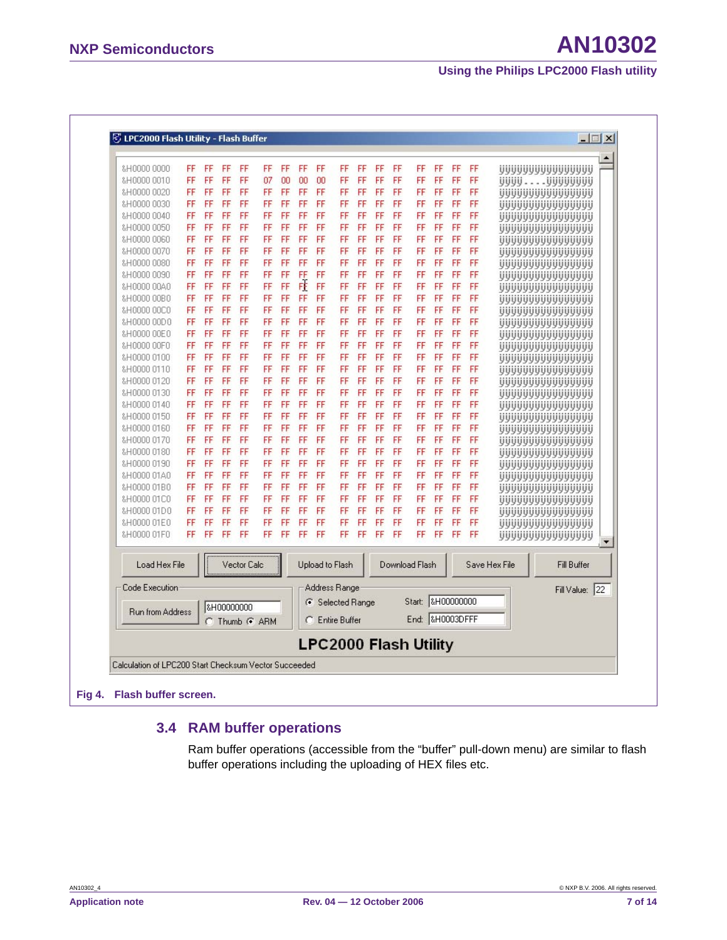| &H0000 0000                                           | FF | FF | FF | FF          | FF            | FF | FF | FF | FF                           | FF | FF | FF | FF                | FF | FF | FF |               | UUUUUUUUUUUUUUU                    |                      |
|-------------------------------------------------------|----|----|----|-------------|---------------|----|----|----|------------------------------|----|----|----|-------------------|----|----|----|---------------|------------------------------------|----------------------|
| &H0000 0010                                           | FF | FF | FF | FF          | 07            | 00 | 00 | 00 | FF                           | FF | FF | FF | FF                | FF | FF | FF |               | UUUUUUUUUUUU                       |                      |
| &H0000 0020                                           | FF | FF | FF | FF          | FF            | FF | FF | FF | FF                           | FF | FF | FF | FF                | FF | FF | FF |               | <u>UUUUUUUUUUUUUUU</u>             |                      |
| &H0000 0030                                           | FF | FF | FF | FF          | FF            | FF | FF | FF | FF                           | FF | FF | FF | FF                | FF | FF | FF |               |                                    |                      |
| &H0000 0040                                           | FF | FF | FF | FF          | FF            | FF | FF | FF | FF                           | FF | FF | FF | FF                | FF | FF | FF |               | UUUUUUUUUUUUUUU                    |                      |
| &H0000 0050                                           | FF | FF | FF | FF          | FF            | FF | FF | FF | FF                           | FF | FF | FF | FF                | FF | FF | FF |               | UUUUUUUUUUUUUUU<br>UUUUUUUUUUUUUUU |                      |
| &H0000 0060                                           | FF | FF | FF | FF          | FF            | FF | FF | FF | FF                           | FF | FF | FF | FF                | FF | FF | FF |               | <u>UUUUUUUUUUUUUUU</u>             |                      |
| &H0000 0070                                           | FF | FF | FF | FF          | FF            | FF | FF | FF | FF                           | FF | FF | FF | FF                | FF | FF | FF |               | UUUUUUUUUUUUUUU                    |                      |
| &H0000 0080                                           | FF | FF | FF | FF          | FF            | FF | FF | FF | FF                           | FF | FF | FF | FF                | FF | FF | FF |               | UUUUUUUUUUUUUUU                    |                      |
| &H0000 0090                                           | FF | FF | FF | FF          | FF            | FF | FF | FF | FF                           | FF | FF | FF | FF                | FF | FF | FF |               | UUUUUUUUUUUUUUU                    |                      |
| &H0000 00A0                                           | FF | FF | FF | FF          | FF            | FF | FÈ | FF | FF                           | FF | FF | FF | FF                | FF | FF | FF |               | <b>UUUUUUUUUUUUUUU</b>             |                      |
| &H0000 00B0                                           | FF | FF | FF | FF          | FF            | FF | FF | FF | FF                           | FF | FF | FF | FF                | FF | FF | FF |               | UUUUUUUUUUUUUUU                    |                      |
| &H0000 00C0                                           | FF | FF | FF | FF          | FF            | FF | FF | FF | FF                           | FF | FF | FF | FF                | FF | FF | FF |               | ,,,,,,,,,,,,,,,,,,,                |                      |
| &H0000 00D0                                           | FF | FF | FF | FF          | FF            | FF | FF | FF | FF                           | FF | FF | FF | FF                | FF | FF | FF |               | UUUUUUUUUUUUUUU                    |                      |
| &H0000 00E0                                           | FF | FF | FF | FF          | FF            | FF | FF | FF | FF                           | FF | FF | FF | FF                | FF | FF | FF |               | uuuuuuuuuuuu                       |                      |
| &H0000 00F0                                           | FF | FF | FF | FF          | FF            | FF | FF | FF | FF                           | FF | FF | FF | FF                | FF | FF | FF |               | UUUUUUUUUUUUUUU                    |                      |
| &H0000 0100                                           | FF | FF | FF | FF          | FF            | FF | FF | FF | FF                           | FF | FF | FF | FF                | FF | FF | FF |               | <u>UUUUUUUUUUUUUUU</u>             |                      |
| &H0000 0110                                           | FF | FF | FF | FF          | FF            | FF | FF | FF | FF                           | FF | FF | FF | FF                | FF | FF | FF |               | UUUUUUUUUUUUUUU                    |                      |
| &H0000 0120                                           | FF | FF | FF | FF          | FF            | FF | FF | FF | FF                           | FF | FF | FF | FF                | FF | FF | FF |               | uuuuuuuuuuuu                       |                      |
| &H0000 0130                                           | FF | FF | FF | FF          | FF            | FF | FF | FF | FF                           | FF | FF | FF | FF                | FF | FF | FF |               | UUUUUUUUUUUUUUU                    |                      |
| &H0000 0140                                           | FF | FF | FF | FF          | FF            | FF | FF | FF | FF                           | FF | FF | FF | FF                | FF | FF | FF |               | <u>UUUUUUUUUUUUUUU</u>             |                      |
| &H0000 0150                                           | FF | FF | FF | FF          | FF            | FF | FF | FF | FF                           | FF | FF | FF | FF                | FF | FF | FF |               | UUUUUUUUUUUUUUU                    |                      |
| &H0000 0160                                           | FF | FF | FF | FF          | FF            | FF | FF | FF | FF                           | FF | FF | FF | FF                | FF | FF | FF |               | uuuuuuuuuuuu                       |                      |
| &H0000 0170                                           | FF | FF | FF | FF          | FF            | FF | FF | FF | FF                           | FF | FF | FF | FF                | FF | FF | FF |               | UUUUUUUUUUUUUUU                    |                      |
| &H0000 0180                                           | FF | FF | FF | FF          | FF            | FF | FF | FF | FF                           | FF | FF | FF | FF                | FF | FF | FF |               | UUUUUUUUUUUUUUU                    |                      |
| &H0000 0190                                           | FF | FF | FF | FF          | FF            | FF | FF | FF | FF                           | FF | FF | FF | FF                | FF | FF | FF |               | UUUUUUUUUUUUUUU                    |                      |
| &H0000 01A0                                           | FF | FF | FF | FF          | FF            | FF | FF | FF | FF                           | FF | FF | FF | FF                | FF | FF | FF |               | uuuuuuuuuuuu                       |                      |
| &H0000 01B0                                           | FF | FF | FF | FF          | FF            | FF | FF | FF | FF                           | FF | FF | FF | FF                | FF | FF | FF |               | <b>UUUUUUUUUUUUUU</b>              |                      |
| &H0000 01C0                                           | FF | FF | FF | FF          | FF            | FF | FF | FF | FF                           | FF | FF | FF | FF                | FF | FF | FF |               | UUUUUUUUUUUUUUU                    |                      |
| &H0000 01D0                                           | FF | FF | FF | FF          | FF            | FF | FF | FF | FF                           | FF | FF | FF | FF                | FF | FF | FF |               | yyyyyyyyyyyyy                      |                      |
| &H0000 01E0                                           | FF | FF | FF | FF          | FF            | FF | FF | FF | FF                           | FF | FF | FF | FF                | FF | FF | FF |               | UUUUUUUUUUUUUUU                    |                      |
| &H0000 01F0                                           | FF | FF | FF | FF          | FF            | FF | FF | FF | FF                           | FF | FF | FF | FF                | FF | FF | FF |               | UUUUUUUUUUUUUUU                    | $\blacktriangledown$ |
| Load Hex File                                         |    |    |    | Vector Calc |               |    |    |    | Upload to Flash              |    |    |    | Download Flash    |    |    |    | Save Hex File | <b>Fill Buffer</b>                 |                      |
| Code Execution                                        |    |    |    |             |               |    |    |    | Address Range                |    |    |    |                   |    |    |    |               | Fill Value: 22                     |                      |
|                                                       |    |    |    |             |               |    |    |    | G Selected Range             |    |    |    | Start: 8H00000000 |    |    |    |               |                                    |                      |
| <b>Run from Address</b>                               |    |    |    | 8H00000000  | C Thumb G ARM |    | c  |    | <b>Entire Buffer</b>         |    |    |    | End: &H0003DFFF   |    |    |    |               |                                    |                      |
|                                                       |    |    |    |             |               |    |    |    | <b>LPC2000 Flash Utility</b> |    |    |    |                   |    |    |    |               |                                    |                      |
| Calculation of LPC200 Start Checksum Vector Succeeded |    |    |    |             |               |    |    |    |                              |    |    |    |                   |    |    |    |               |                                    |                      |

### <span id="page-6-0"></span>**3.4 RAM buffer operations**

Ram buffer operations (accessible from the "buffer" pull-down menu) are similar to flash buffer operations including the uploading of HEX files etc.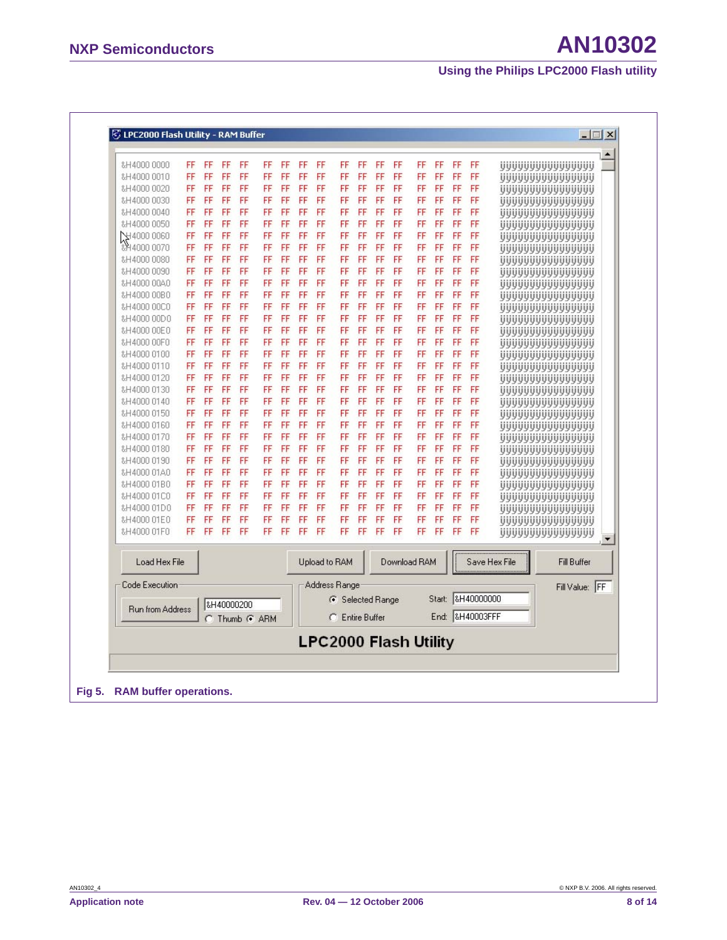| &H4000 0010                | FF       | FF       | FF       | FF         | FF            | FF       | FF       | FF       | FF               | FF                   | FF       | FF       | FF                           | FF       | FF       | FF                |               | UUUUUUUUUUUUUUU                            |  |
|----------------------------|----------|----------|----------|------------|---------------|----------|----------|----------|------------------|----------------------|----------|----------|------------------------------|----------|----------|-------------------|---------------|--------------------------------------------|--|
| &H4000 0020                | FF       | FF       | FF       | FF         | FF            | FF       | FF       | FF       | FF               | FF                   | FF       | FF       | FF                           | FF       | FF       | FF                |               | UUUUUUUUUUUUUUU                            |  |
| &H4000 0030                | FF       | FF       | FF       | FF<br>FF   | FF            | FF       | FF       | FF       | FF               | FF                   | FF       | FF<br>FF | FF                           | FF       | FF       | FF                |               | UUUUUUUUUUUUUUU                            |  |
| &H4000 0040                | FF<br>FF | FF<br>FF | FF<br>FF | FF         | FF<br>FF      | FF<br>FF | FF<br>FF | FF<br>FF | FF<br>FF         | FF<br>FF             | FF<br>FF | FF       | FF                           | FF<br>FF | FF<br>FF | FF<br>FF          |               | UUUUUUUUUUUUUUU                            |  |
| &H4000 0050<br>상4000 0060  | FF       | FF       | FF       | FF         | FF            | FF       |          | FF       |                  | FF                   |          | FF       | FF                           | FF       | FF       | FF                |               | UUUUUUUUUUUUUUU                            |  |
| &P14000 0070               | FF       | FF       | FF       | FF         | FF            | FF       | FF<br>FF | FF       | FF<br>FF         | FF                   | FF<br>FF | FF       | FF<br>FF                     | FF       | FF       | FF                |               | UUUUUUUUUUUUUUU                            |  |
| &H4000 0080                | FF       | FF       | FF       | FF         | FF            | FF       | FF       | FF       | FF               | FF                   | FF       | FF       | FF                           | FF       | FF       | FF                |               | UUUUUUUUUUUUUUU                            |  |
| &H4000 0090                | FF       | FF       | FF       | FF         | FF            | FF       | FF       | FF       | FF               | FF                   | FF       | FF       | FF                           | FF       | FF       | FF                |               | UUUUUUUUUUUUUUU                            |  |
| &H4000 00A0                | FF       | FF       | FF       | FF         | FF            | FF       | FF       | FF       | FF               | FF                   | FF       | FF       | FF                           | FF       | FF       | FF                |               | <u>VYYYYYYYYYYYYYYY</u><br>UUUUUUUUUUUUUUU |  |
| &H4000 00B0                | FF       | FF       | FF       | FF         | FF            | FF       | FF       | FF       | FF               | FF                   | FF       | FF       | FF                           | FF       | FF       | FF                |               | UUUUUUUUUUUUUUU                            |  |
| &H4000 00C0                | FF       | FF       | FF       | FF         | FF            | FF       | FF       | FF       | FF               | FF                   | FF       | FF       | FF                           | FF       | FF       | FF                |               | UUUUUUUUUUUUUUU                            |  |
| &H4000 00D0                | FF       | FF       | FF       | FF         | FF            | FF       | FF       | FF       | FF               | FF                   | FF       | FF       | FF                           | FF       | FF       | FF                |               | UUUUUUUUUUUUUUU                            |  |
| &H4000 00E0                | FF       | FF       | FF       | FF         | FF            | FF       | FF       | FF       | FF               | FF                   | FF       | FF       | FF                           | FF       | FF       | FF                |               | <b>UUUUUUUUUUUUUUU</b>                     |  |
| &H4000 00F0                | FF       | FF       | FF       | FF         | FF            | FF       | FF       | FF       | FF               | FF                   | FF       | FF       | FF                           | FF       | FF       | FF                |               | UUUUUUUUUUUUUUU                            |  |
| &H4000 0100                | FF       | FF       | FF       | FF         | FF            | FF       | FF       | FF       | FF               | FF                   | FF       | FF       | FF                           | FF       | FF       | FF                |               | UUUUUUUUUUUUUUU                            |  |
| &H4000 0110                | FF       | FF       | FF       | FF         | FF            | FF       | FF       | FF       | FF               | FF                   | FF       | FF       | FF                           | FF       | FF       | FF                |               | yyyyyyyyyyyyyy                             |  |
| &H4000 0120                | FF       | FF       | FF       | FF         | FF            | FF       | FF       | FF       | FF               | FF                   | FF       | FF       | FF                           | FF       | FF       | FF                |               | <u>UUUUUUUUUUUUUUU</u>                     |  |
| &H4000 0130                | FF       | FF       | FF       | FF         | FF            | FF       | FF       | FF       | FF               | FF                   | FF       | FF       | FF                           | FF       | FF       | FF                |               | UUUUUUUUUUUUUUU                            |  |
| &H4000 0140                | FF       | FF       | FF       | FF         | FF            | FF       | FF       | FF       | FF               | FF                   | FF       | FF       | FF                           | FF       | FF       | FF                |               | <u>UUUUUUUUUUUUUUU</u>                     |  |
| &H4000 0150                | FF       | FF       | FF       | FF         | FF            | FF       | FF       | FF       | FF               | FF                   | FF       | FF       | FF                           | FF       | FF       | FF                |               | UUUUUUUUUUUUUUU                            |  |
| &H4000 0160                | FF       | FF       | FF       | FF         | FF            | FF       | FF       | FF       | FF               | FF                   | FF       | FF       | FF                           | FF       | FF       | FF                |               | UUUUUUUUUUUUUUU                            |  |
| &H4000 0170                | FF       | FF       | FF       | FF         | FF            | FF       | FF       | FF       | FF               | FF                   | FF       | FF       | FF                           | FF       | FF       | FF                |               | UUUUUUUUUUUUUUU                            |  |
| &H4000 0180                | FF       | FF       | FF       | FF         | FF            | FF       | FF       | FF       | FF               | FF                   | FF       | FF       | FF                           | FF       | FF       | FF                |               | <u>UUUUUUUUUUUUUUU</u>                     |  |
| &H4000 0190                | FF       | FF       | FF       | FF         | FF            | FF       | FF       | FF       | FF               | FF                   | FF       | FF       | FF                           | FF       | FF       | FF                |               | <u>VYYYYYYYYYYYYYYY</u>                    |  |
| &H4000 01A0                | FF       | FF       | FF       | FF         | FF            | FF       | FF       | FF       | FF               | FF                   | FF       | FF       | FF                           | FF       | FF       | FF                |               | <u>UUUUUUUUUUUUUUU</u>                     |  |
| &H4000 01B0                | FF       | FF       | FF       | FF         | FF            | FF       | FF       | FF       | FF               | FF                   | FF       | FF       | FF                           | FF       | FF       | FF                |               | UUUUUUUUUUUUUUU                            |  |
| &H4000 01C0                | FF<br>FF | FF<br>FF | FF<br>FF | FF<br>FF   | FF<br>FF      | FF<br>FF | FF<br>FF | FF<br>FF | FF               | FF<br>FF             | FF<br>FF | FF<br>FF | FF<br>FF                     | FF<br>FF | FF<br>FF | FF<br>FF          |               | UUUUUUUUUUUUUUU                            |  |
| &H4000 01D0<br>&H4000 01E0 | FF       | FF       | FF       | FF         | FF            | FF       | FF       | FF       | FF<br>FF         | FF                   | FF       | FF       | FF                           | FF       | FF       | FF                |               | UUUUUUUUUUUUUUU                            |  |
| &H4000 01F0                | FF       | FF       | FF       | FF         | FF            | FF       | FF       | FF       | FF               | FF                   | FF       | FF       | FF                           | FF       | FF       | FF                |               | UUUUUUUUUUUUUUU<br><u>UUUUUUUUUUUUUUU</u>  |  |
|                            |          |          |          |            |               |          |          |          |                  |                      |          |          |                              |          |          |                   |               |                                            |  |
| Load Hex File              |          |          |          |            |               |          |          |          | Upload to RAM    |                      |          |          | Download RAM                 |          |          |                   | Save Hex File | <b>Fill Buffer</b>                         |  |
| Code Execution             |          |          |          |            |               |          |          |          | Address Range    |                      |          |          |                              |          |          |                   |               | Fill Value: FF                             |  |
|                            |          |          |          | &H40000200 |               |          |          |          | ← Selected Range |                      |          |          |                              |          |          | Start: &H40000000 |               |                                            |  |
| <b>Run from Address</b>    |          |          |          |            | C Thumb G ARM |          |          |          | C                | <b>Entire Buffer</b> |          |          |                              |          |          | End: &H40003FFF   |               |                                            |  |
|                            |          |          |          |            |               |          |          |          |                  |                      |          |          | <b>LPC2000 Flash Utility</b> |          |          |                   |               |                                            |  |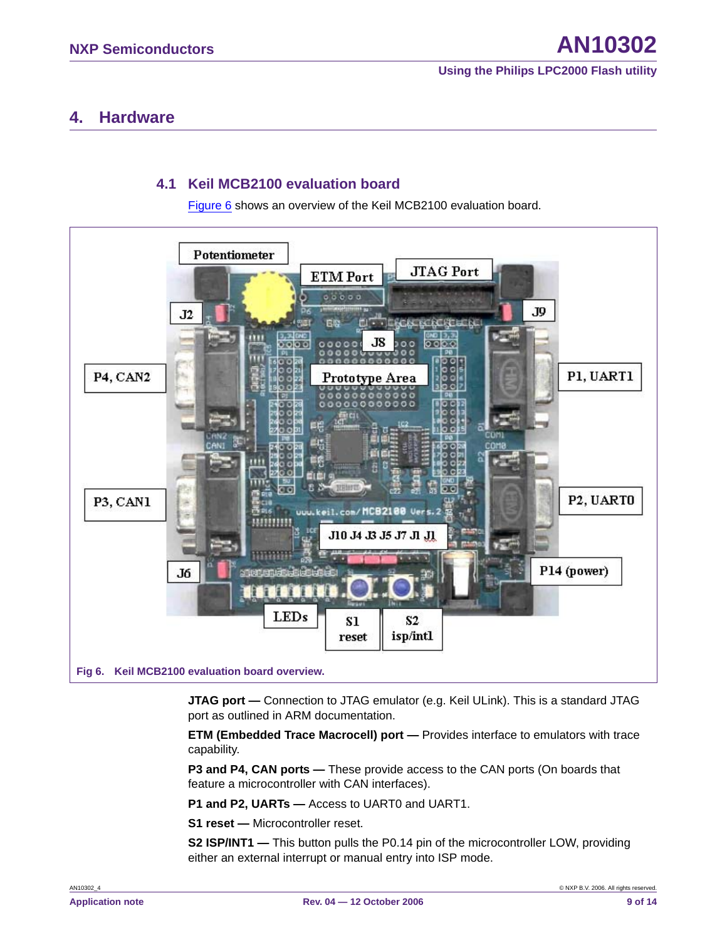### <span id="page-8-1"></span>**4. Hardware**

### **4.1 Keil MCB2100 evaluation board**

[Figure 6](#page-8-0) shows an overview of the Keil MCB2100 evaluation board.

<span id="page-8-2"></span>

<span id="page-8-0"></span>**JTAG port —** Connection to JTAG emulator (e.g. Keil ULink). This is a standard JTAG port as outlined in ARM documentation.

**ETM (Embedded Trace Macrocell) port —** Provides interface to emulators with trace capability.

**P3 and P4, CAN ports —** These provide access to the CAN ports (On boards that feature a microcontroller with CAN interfaces).

**P1 and P2, UARTs —** Access to UART0 and UART1.

**S1 reset —** Microcontroller reset.

**S2 ISP/INT1 —** This button pulls the P0.14 pin of the microcontroller LOW, providing either an external interrupt or manual entry into ISP mode.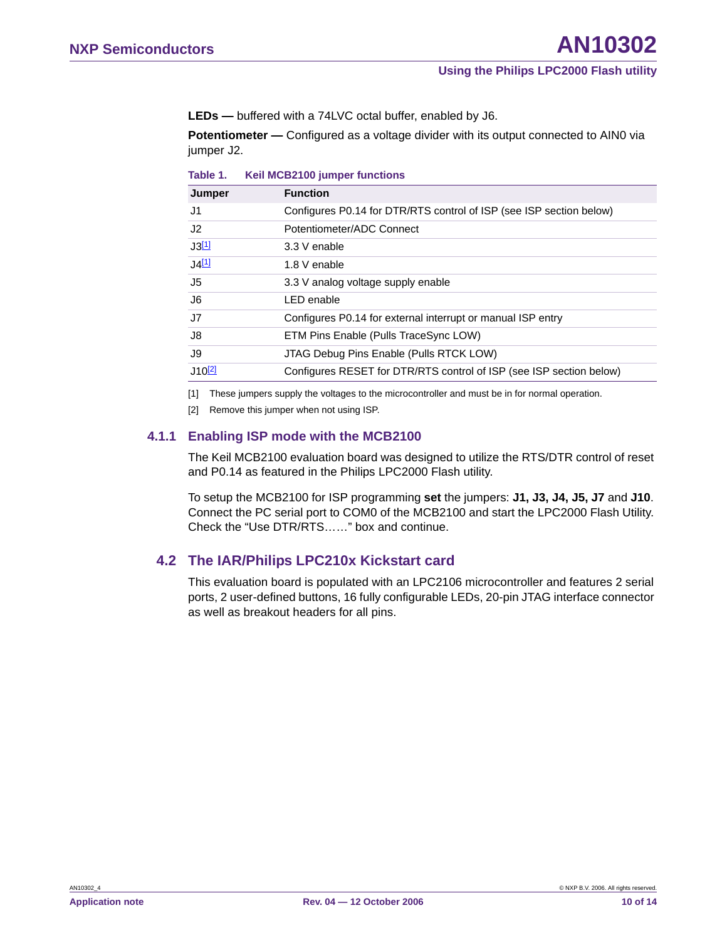**LEDs —** buffered with a 74LVC octal buffer, enabled by J6.

**Potentiometer** — Configured as a voltage divider with its output connected to AIN0 via jumper J2.

**Table 1. Keil MCB2100 jumper functions**

| Jumper               | <b>Function</b>                                                     |
|----------------------|---------------------------------------------------------------------|
| J1                   | Configures P0.14 for DTR/RTS control of ISP (see ISP section below) |
| J2                   | Potentiometer/ADC Connect                                           |
| J3[1]                | 3.3 V enable                                                        |
| J4[1]                | 1.8 V enable                                                        |
| J5                   | 3.3 V analog voltage supply enable                                  |
| J6                   | LED enable                                                          |
| J7                   | Configures P0.14 for external interrupt or manual ISP entry         |
| J8                   | ETM Pins Enable (Pulls TraceSync LOW)                               |
| J9                   | JTAG Debug Pins Enable (Pulls RTCK LOW)                             |
| $J10$ <sup>[2]</sup> | Configures RESET for DTR/RTS control of ISP (see ISP section below) |
|                      |                                                                     |

<span id="page-9-0"></span>[1] These jumpers supply the voltages to the microcontroller and must be in for normal operation.

<span id="page-9-1"></span>[2] Remove this jumper when not using ISP.

#### <span id="page-9-2"></span>**4.1.1 Enabling ISP mode with the MCB2100**

The Keil MCB2100 evaluation board was designed to utilize the RTS/DTR control of reset and P0.14 as featured in the Philips LPC2000 Flash utility.

To setup the MCB2100 for ISP programming **set** the jumpers: **J1, J3, J4, J5, J7** and **J10**. Connect the PC serial port to COM0 of the MCB2100 and start the LPC2000 Flash Utility. Check the "Use DTR/RTS……" box and continue.

### <span id="page-9-3"></span>**4.2 The IAR/Philips LPC210x Kickstart card**

This evaluation board is populated with an LPC2106 microcontroller and features 2 serial ports, 2 user-defined buttons, 16 fully configurable LEDs, 20-pin JTAG interface connector as well as breakout headers for all pins.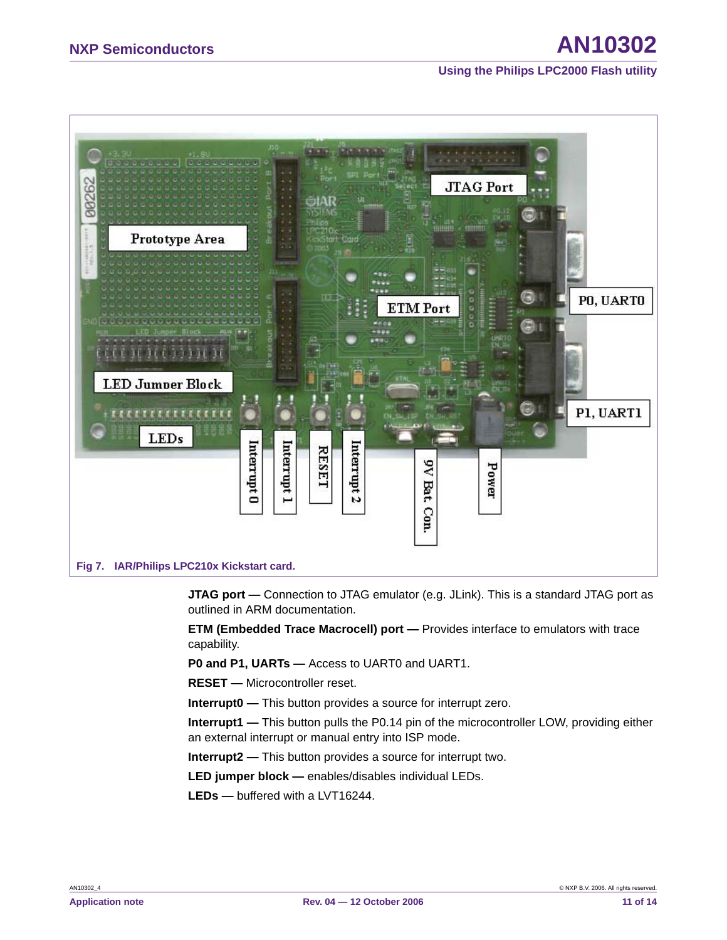## **NXP Semiconductors AN10302**

**Using the Philips LPC2000 Flash utility**



**JTAG port** — Connection to JTAG emulator (e.g. JLink). This is a standard JTAG port as outlined in ARM documentation.

**ETM (Embedded Trace Macrocell) port —** Provides interface to emulators with trace capability.

**P0 and P1, UARTs —** Access to UART0 and UART1.

**RESET —** Microcontroller reset.

**Interrupt0 —** This button provides a source for interrupt zero.

**Interrupt1 —** This button pulls the P0.14 pin of the microcontroller LOW, providing either an external interrupt or manual entry into ISP mode.

**Interrupt2 —** This button provides a source for interrupt two.

**LED jumper block —** enables/disables individual LEDs.

**LEDs —** buffered with a LVT16244.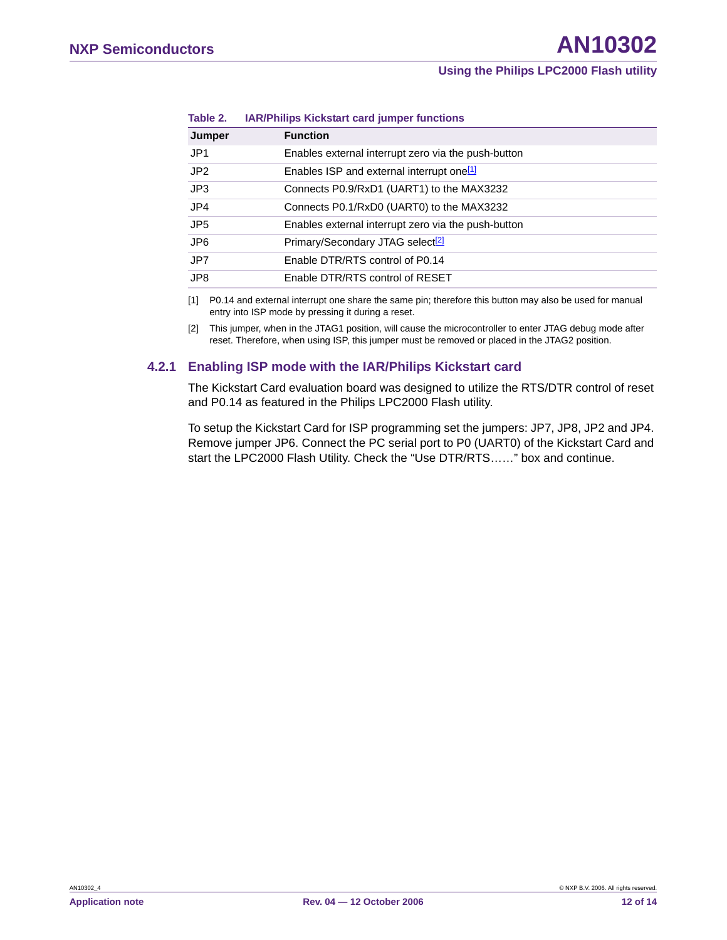| Jumper          | <b>Function</b>                                       |
|-----------------|-------------------------------------------------------|
| JP <sub>1</sub> | Enables external interrupt zero via the push-button   |
| JP <sub>2</sub> | Enables ISP and external interrupt one <sup>[1]</sup> |
| JP3             | Connects P0.9/RxD1 (UART1) to the MAX3232             |
| JP4             | Connects P0.1/RxD0 (UART0) to the MAX3232             |
| JP <sub>5</sub> | Enables external interrupt zero via the push-button   |
| JP <sub>6</sub> | Primary/Secondary JTAG select <sup>[2]</sup>          |
| JP7             | Enable DTR/RTS control of P0.14                       |
| JP8             | Enable DTR/RTS control of RESET                       |
|                 |                                                       |

#### **Table 2. IAR/Philips Kickstart card jumper functions**

<span id="page-11-0"></span>[1] P0.14 and external interrupt one share the same pin; therefore this button may also be used for manual entry into ISP mode by pressing it during a reset.

<span id="page-11-1"></span>[2] This jumper, when in the JTAG1 position, will cause the microcontroller to enter JTAG debug mode after reset. Therefore, when using ISP, this jumper must be removed or placed in the JTAG2 position.

### <span id="page-11-2"></span>**4.2.1 Enabling ISP mode with the IAR/Philips Kickstart card**

The Kickstart Card evaluation board was designed to utilize the RTS/DTR control of reset and P0.14 as featured in the Philips LPC2000 Flash utility.

To setup the Kickstart Card for ISP programming set the jumpers: JP7, JP8, JP2 and JP4. Remove jumper JP6. Connect the PC serial port to P0 (UART0) of the Kickstart Card and start the LPC2000 Flash Utility. Check the "Use DTR/RTS……" box and continue.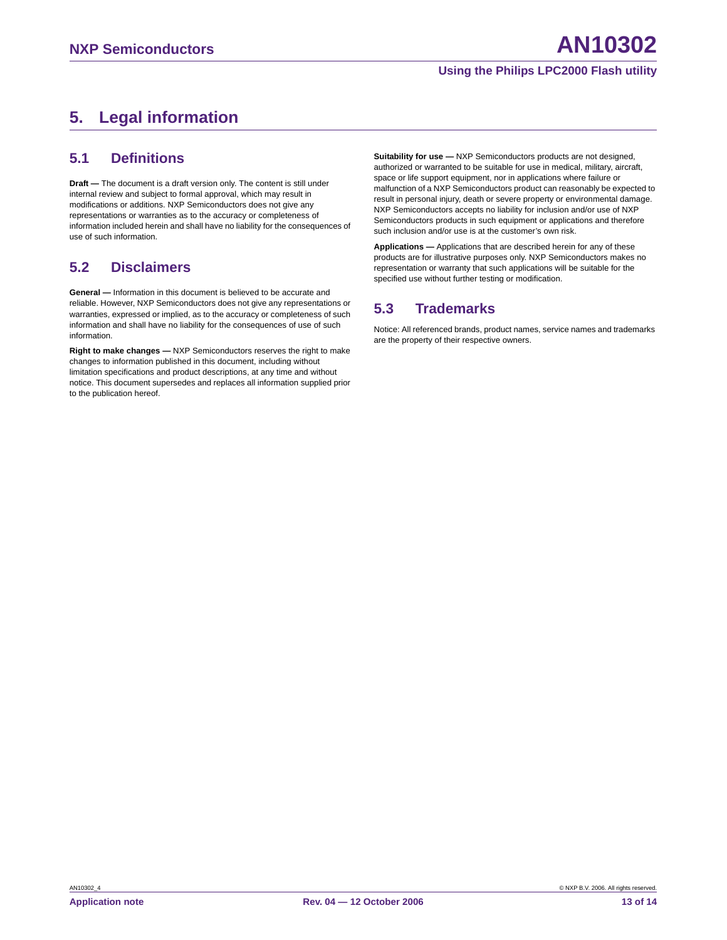## <span id="page-12-0"></span>**5. Legal information**

### <span id="page-12-1"></span>**5.1 Definitions**

**Draft —** The document is a draft version only. The content is still under internal review and subject to formal approval, which may result in modifications or additions. NXP Semiconductors does not give any representations or warranties as to the accuracy or completeness of information included herein and shall have no liability for the consequences of use of such information.

### <span id="page-12-2"></span>**5.2 Disclaimers**

**General —** Information in this document is believed to be accurate and reliable. However, NXP Semiconductors does not give any representations or warranties, expressed or implied, as to the accuracy or completeness of such information and shall have no liability for the consequences of use of such information.

**Right to make changes —** NXP Semiconductors reserves the right to make changes to information published in this document, including without limitation specifications and product descriptions, at any time and without notice. This document supersedes and replaces all information supplied prior to the publication hereof.

**Suitability for use —** NXP Semiconductors products are not designed, authorized or warranted to be suitable for use in medical, military, aircraft, space or life support equipment, nor in applications where failure or malfunction of a NXP Semiconductors product can reasonably be expected to result in personal injury, death or severe property or environmental damage. NXP Semiconductors accepts no liability for inclusion and/or use of NXP Semiconductors products in such equipment or applications and therefore such inclusion and/or use is at the customer's own risk.

**Applications —** Applications that are described herein for any of these products are for illustrative purposes only. NXP Semiconductors makes no representation or warranty that such applications will be suitable for the specified use without further testing or modification.

### <span id="page-12-3"></span>**5.3 Trademarks**

Notice: All referenced brands, product names, service names and trademarks are the property of their respective owners.